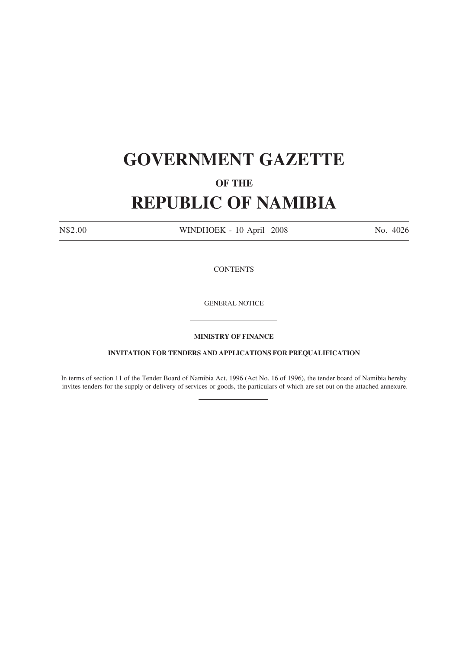## **GOVERNMENT GAZETTE**

## **OF THE**

## **REPUBLIC OF NAMIBIA**

N\$2.00 WINDHOEK - 10 April 2008 No. 4026

**CONTENTS** 

GENERAL NOTICE

**MINISTRY OF FINANCE**

## **INVITATION FOR TENDERS AND APPLICATIONS FOR PREQUALIFICATION**

In terms of section 11 of the Tender Board of Namibia Act, 1996 (Act No. 16 of 1996), the tender board of Namibia hereby invites tenders for the supply or delivery of services or goods, the particulars of which are set out on the attached annexure.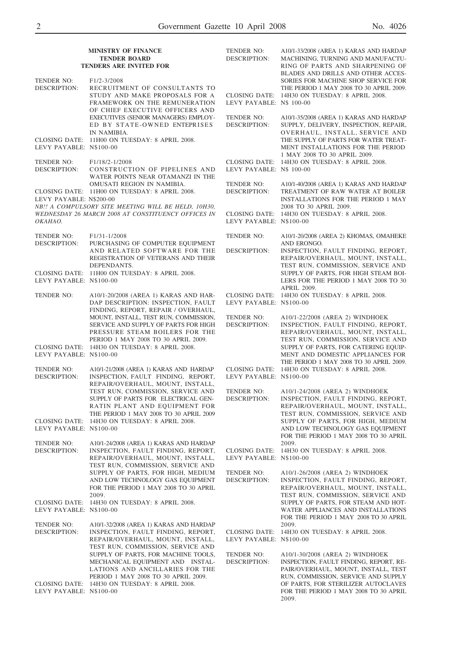|                            | <b>MINISTRY OF FINANCE</b><br><b>TENDER BOARD</b><br><b>TENDERS ARE INVITED FOR</b>                                                                                                                     | TENDER NO:<br><b>DESCRIPTION:</b> | A10/1-33/2008 (AREA 1) KARAS AND HARDAP<br>MACHINING, TURNING AND MANUFACTU-<br>RING OF PARTS AND SHARPENING OF                                                                                                                         |
|----------------------------|---------------------------------------------------------------------------------------------------------------------------------------------------------------------------------------------------------|-----------------------------------|-----------------------------------------------------------------------------------------------------------------------------------------------------------------------------------------------------------------------------------------|
| TENDER NO:<br>DESCRIPTION: | F <sub>1</sub> /2-3/2008<br>RECRUITMENT OF CONSULTANTS TO<br>STUDY AND MAKE PROPOSALS FOR A<br>FRAMEWORK ON THE REMUNERATION<br>OF CHIEF EXECUTIVE OFFICERS AND                                         | LEVY PAYABLE: N\$ 100-00          | BLADES AND DRILLS AND OTHER ACCES-<br>SORIES FOR MACHINE SHOP SERVICE FOR<br>THE PERIOD 1 MAY 2008 TO 30 APRIL 2009.<br>CLOSING DATE: 14H30 ON TUESDAY: 8 APRIL 2008.                                                                   |
| LEVY PAYABLE: N\$100-00    | EXECUTIVES (SENIOR MANAGERS) EMPLOY-<br>ED BY STATE-OWNED ENTEPRISES<br>IN NAMIBIA.<br>CLOSING DATE: 11H00 ON TUESDAY: 8 APRIL 2008.                                                                    | TENDER NO:<br>DESCRIPTION:        | A10/1-35/2008 (AREA 1) KARAS AND HARDAP<br>SUPPLY, DELIVERY, INSPECTION, REPAIR,<br>OVERHAUL, INSTALL, SERVICE AND<br>THE SUPPLY OF PARTS FOR WATER TREAT-<br>MENT INSTALLATIONS FOR THE PERIOD<br>1 MAY 2008 TO 30 APRIL 2009.         |
| TENDER NO:<br>DESCRIPTION: | F1/18/2-1/2008<br>CONSTRUCTION OF PIPELINES AND<br>WATER POINTS NEAR OTAMANZI IN THE                                                                                                                    | LEVY PAYABLE: N\$ 100-00          | CLOSING DATE: 14H30 ON TUESDAY: 8 APRIL 2008.                                                                                                                                                                                           |
| LEVY PAYABLE: N\$200-00    | OMUSATI REGION IN NAMIBIA.<br>CLOSING DATE: 11H00 ON TUESDAY: 8 APRIL 2008.<br>NB !! A COMPULSORY SITE MEETING WILL BE HELD, 10H30,                                                                     | TENDER NO:<br><b>DESCRIPTION:</b> | A10/1-40/2008 (AREA 1) KARAS AND HARDAP<br>TREATMENT OF RAW WATER AT BOILER<br><b>INSTALLATIONS FOR THE PERIOD 1 MAY</b><br>2008 TO 30 APRIL 2009.                                                                                      |
| OKAHAO.                    | WEDNESDAY 26 MARCH 2008 AT CONSTITUENCY OFFICES IN                                                                                                                                                      | LEVY PAYABLE: N\$100-00           | CLOSING DATE: 14H30 ON TUESDAY: 8 APRIL 2008.                                                                                                                                                                                           |
| TENDER NO:<br>DESCRIPTION: | F1/31-1/2008<br>PURCHASING OF COMPUTER EQUIPMENT                                                                                                                                                        | TENDER NO:                        | A10/1-20/2008 (AREA 2) KHOMAS, OMAHEKE<br>AND ERONGO.                                                                                                                                                                                   |
|                            | AND RELATED SOFTWARE FOR THE<br>REGISTRATION OF VETERANS AND THEIR<br>DEPENDANTS.<br>CLOSING DATE: 11H00 ON TUESDAY: 8 APRIL 2008.                                                                      | DESCRIPTION:                      | INSPECTION, FAULT FINDING, REPORT,<br>REPAIR/OVERHAUL, MOUNT, INSTALL,<br>TEST RUN, COMMISSION, SERVICE AND<br>SUPPLY OF PARTS, FOR HIGH STEAM BOI-                                                                                     |
| LEVY PAYABLE: N\$100-00    |                                                                                                                                                                                                         |                                   | LERS FOR THE PERIOD 1 MAY 2008 TO 30<br>APRIL 2009.                                                                                                                                                                                     |
| TENDER NO:                 | A10/1-20/2008 (AREA 1) KARAS AND HAR-<br>DAP DESCRIPTION: INSPECTION, FAULT<br>FINDING, REPORT, REPAIR / OVERHAUL,                                                                                      | LEVY PAYABLE: N\$100-00           | CLOSING DATE: 14H30 ON TUESDAY: 8 APRIL 2008.                                                                                                                                                                                           |
| LEVY PAYABLE: N\$100-00    | MOUNT, INSTALL, TEST RUN, COMMISSION,<br>SERVICE AND SUPPLY OF PARTS FOR HIGH<br>PRESSURE STEAM BOILERS FOR THE<br>PERIOD 1 MAY 2008 TO 30 APRIL 2009.<br>CLOSING DATE: 14H30 ON TUESDAY: 8 APRIL 2008. | TENDER NO:<br><b>DESCRIPTION:</b> | A10/1-22/2008 (AREA 2) WINDHOEK<br>INSPECTION, FAULT FINDING, REPORT,<br>REPAIR/OVERHAUL, MOUNT, INSTALL,<br>TEST RUN, COMMISSION, SERVICE AND<br>SUPPLY OF PARTS, FOR CATERING EQUIP-<br>MENT AND DOMESTIC APPLIANCES FOR              |
| TENDER NO:                 | A10/1-21/2008 (AREA 1) KARAS AND HARDAP                                                                                                                                                                 |                                   | THE PERIOD 1 MAY 2008 TO 30 APRIL 2009.<br>CLOSING DATE: 14H30 ON TUESDAY: 8 APRIL 2008.                                                                                                                                                |
| DESCRIPTION:               | INSPECTION, FAULT FINDING, REPORT,<br>REPAIR/OVERHAUL, MOUNT, INSTALL,                                                                                                                                  | LEVY PAYABLE: N\$100-00           |                                                                                                                                                                                                                                         |
|                            | TEST RUN, COMMISSION, SERVICE AND<br>SUPPLY OF PARTS FOR ELECTRICAL GEN-<br>RATIN PLANT AND EQUIPMENT FOR<br>THE PERIOD 1 MAY 2008 TO 30 APRIL 2009                                                     | TENDER NO:<br><b>DESCRIPTION:</b> | A10/1-24/2008 (AREA 2) WINDHOEK<br>INSPECTION, FAULT FINDING, REPORT,<br>REPAIR/OVERHAUL, MOUNT, INSTALL,<br>TEST RUN, COMMISSION, SERVICE AND                                                                                          |
| LEVY PAYABLE: N\$100-00    | CLOSING DATE: 14H30 ON TUESDAY: 8 APRIL 2008.                                                                                                                                                           |                                   | SUPPLY OF PARTS, FOR HIGH, MEDIUM<br>AND LOW TECHNOLOGY GAS EQUIPMENT<br>FOR THE PERIOD 1 MAY 2008 TO 30 APRIL                                                                                                                          |
| TENDER NO:<br>DESCRIPTION: | A10/1-24/2008 (AREA 1) KARAS AND HARDAP<br>INSPECTION, FAULT FINDING, REPORT,<br>REPAIR/OVERHAUL, MOUNT, INSTALL,<br>TEST RUN, COMMISSION, SERVICE AND                                                  | LEVY PAYABLE: N\$100-00           | 2009.<br>CLOSING DATE: 14H30 ON TUESDAY: 8 APRIL 2008.                                                                                                                                                                                  |
|                            | SUPPLY OF PARTS, FOR HIGH, MEDIUM<br>AND LOW TECHNOLOGY GAS EQUIPMENT<br>FOR THE PERIOD 1 MAY 2008 TO 30 APRIL<br>2009.                                                                                 | TENDER NO:<br>DESCRIPTION:        | A10/1-26/2008 (AREA 2) WINDHOEK<br>INSPECTION, FAULT FINDING, REPORT,<br>REPAIR/OVERHAUL, MOUNT, INSTALL,<br>TEST RUN, COMMISSION, SERVICE AND                                                                                          |
| LEVY PAYABLE: N\$100-00    | CLOSING DATE: 14H30 ON TUESDAY: 8 APRIL 2008.                                                                                                                                                           |                                   | SUPPLY OF PARTS, FOR STEAM AND HOT-<br>WATER APPLIANCES AND INSTALLATIONS<br>FOR THE PERIOD 1 MAY 2008 TO 30 APRIL                                                                                                                      |
| TENDER NO:<br>DESCRIPTION: | A10/1-32/2008 (AREA 1) KARAS AND HARDAP<br>INSPECTION, FAULT FINDING, REPORT,<br>REPAIR/OVERHAUL, MOUNT, INSTALL,<br>TEST RUN, COMMISSION, SERVICE AND                                                  | LEVY PAYABLE: N\$100-00           | 2009.<br>CLOSING DATE: 14H30 ON TUESDAY: 8 APRIL 2008.                                                                                                                                                                                  |
| LEVY PAYABLE: N\$100-00    | SUPPLY OF PARTS, FOR MACHINE TOOLS,<br>MECHANICAL EQUIPMENT AND INSTAL-<br>LATIONS AND ANCILLARIES FOR THE<br>PERIOD 1 MAY 2008 TO 30 APRIL 2009.<br>CLOSING DATE: 14H30 ON TUESDAY: 8 APRIL 2008.      | TENDER NO:<br>DESCRIPTION:        | A10/1-30/2008 (AREA 2) WINDHOEK<br>INSPECTION, FAULT FINDING, REPORT, RE-<br>PAIR/OVERHAUL, MOUNT, INSTALL, TEST<br>RUN, COMMISSION, SERVICE AND SUPPLY<br>OF PARTS, FOR STERILIZER AUTOCLAVES<br>FOR THE PERIOD 1 MAY 2008 TO 30 APRIL |
|                            |                                                                                                                                                                                                         |                                   | 2009.                                                                                                                                                                                                                                   |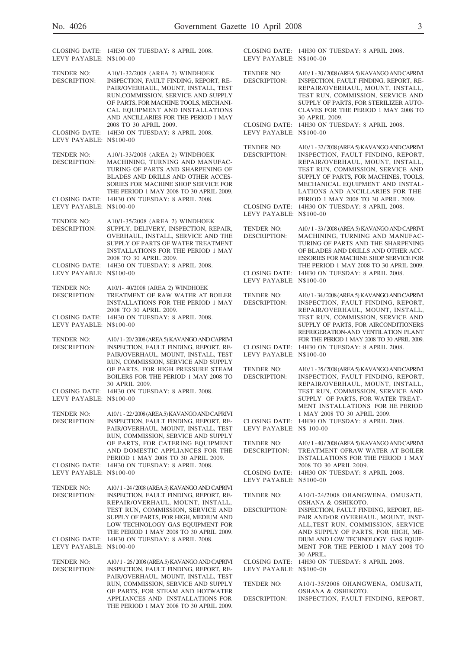| LEVY PAYABLE: N\$100-00                  | CLOSING DATE: 14H30 ON TUESDAY: 8 APRIL 2008.                                                                                                                                                                                                                                    | LEVY PAYABLE: N\$100-00                  | CLOSING DATE: 14H30 ON TUESDAY: 8 APRIL 2008.                                                                                                                                                                                                                                                                      |
|------------------------------------------|----------------------------------------------------------------------------------------------------------------------------------------------------------------------------------------------------------------------------------------------------------------------------------|------------------------------------------|--------------------------------------------------------------------------------------------------------------------------------------------------------------------------------------------------------------------------------------------------------------------------------------------------------------------|
| <b>TENDER NO:</b><br>DESCRIPTION:        | A10/1-32/2008 (AREA 2) WINDHOEK<br>INSPECTION, FAULT FINDING, REPORT, RE-<br>PAIR/OVERHAUL, MOUNT, INSTALL, TEST<br>RUN, COMMISSION, SERVICE AND SUPPLY<br>OF PARTS, FOR MACHINE TOOLS, MECHANI-<br>CAL EQUIPMENT AND INSTALLATIONS<br>AND ANCILLARIES FOR THE PERIOD 1 MAY      | <b>TENDER NO:</b><br><b>DESCRIPTION:</b> | A10/1 - 30/2008 (AREA 5) KAVANGO AND CAPRIVI<br>INSPECTION, FAULT FINDING, REPORT, RE-<br>REPAIR/OVERHAUL, MOUNT, INSTALL,<br>TEST RUN, COMMISSION, SERVICE AND<br>SUPPLY OF PARTS, FOR STERILIZER AUTO-<br>CLAVES FOR THE PERIOD 1 MAY 2008 TO<br>30 APRIL 2009.                                                  |
| LEVY PAYABLE: N\$100-00                  | 2008 TO 30 APRIL 2009.<br>CLOSING DATE: 14H30 ON TUESDAY: 8 APRIL 2008.                                                                                                                                                                                                          | LEVY PAYABLE: N\$100-00                  | CLOSING DATE: 14H30 ON TUESDAY: 8 APRIL 2008.                                                                                                                                                                                                                                                                      |
| TENDER NO:<br>DESCRIPTION:               | A10/1-33/2008 (AREA 2) WINDHOEK<br>MACHINING, TURNING AND MANUFAC-<br>TURING OF PARTS AND SHARPENING OF<br>BLADES AND DRILLS AND OTHER ACCES-<br>SORIES FOR MACHINE SHOP SERVICE FOR<br>THE PERIOD 1 MAY 2008 TO 30 APRIL 2009.<br>CLOSING DATE: 14H30 ON TUESDAY: 8 APRIL 2008. | <b>TENDER NO:</b><br><b>DESCRIPTION:</b> | A10/1 - 32/2008 (AREA 5) KAVANGO AND CAPRIVI<br>INSPECTION, FAULT FINDING, REPORT,<br>REPAIR/OVERHAUL, MOUNT, INSTALL,<br>TEST RUN, COMMISSION, SERVICE AND<br>SUPPLY OF PARTS, FOR MACHINES, TOOLS,<br>MECHANICAL EQUIPMENT AND INSTAL-<br>LATIONS AND ANCILLARIES FOR THE<br>PERIOD 1 MAY 2008 TO 30 APRIL 2009. |
| LEVY PAYABLE: N\$100-00                  |                                                                                                                                                                                                                                                                                  | LEVY PAYABLE: N\$100-00                  | CLOSING DATE: 14H30 ON TUESDAY: 8 APRIL 2008.                                                                                                                                                                                                                                                                      |
| TENDER NO:<br>DESCRIPTION:               | A10/1-35/2008 (AREA 2) WINDHOEK<br>SUPPLY, DELIVERY, INSPECTION, REPAIR,<br>OVERHAUL, INSTALL, SERVICE AND THE<br>SUPPLY OF PARTS OF WATER TREATMENT<br><b>INSTALLATIONS FOR THE PERIOD 1 MAY</b><br>2008 TO 30 APRIL 2009.                                                      | TENDER NO:<br><b>DESCRIPTION:</b>        | A10/1 - 33/2008 (AREA 5) KAVANGO AND CAPRIVI<br>MACHINING, TURNING AND MANUFAC-<br>TURING OF PARTS AND THE SHARPENING<br>OF BLADES AND DRILLS AND OTHER ACC-<br><b>ESSORIES FOR MACHINE SHOP SERVICE FOR</b>                                                                                                       |
| LEVY PAYABLE: N\$100-00                  | CLOSING DATE: 14H30 ON TUESDAY: 8 APRIL 2008.                                                                                                                                                                                                                                    | LEVY PAYABLE: N\$100-00                  | THE PERIOD 1 MAY 2008 TO 30 APRIL 2009.<br>CLOSING DATE: 14H30 ON TUESDAY: 8 APRIL 2008.                                                                                                                                                                                                                           |
| TENDER NO:<br>DESCRIPTION:               | A10/1- 40/2008 (AREA 2) WINDHOEK<br>TREATMENT OF RAW WATER AT BOILER<br><b>INSTALLATIONS FOR THE PERIOD 1 MAY</b><br>2008 TO 30 APRIL 2009.                                                                                                                                      | TENDER NO:<br><b>DESCRIPTION:</b>        | A10/1-34/2008 (AREA 5) KAVANGO AND CAPRIVI<br>INSPECTION, FAULT FINDING, REPORT,<br>REPAIR/OVERHAUL, MOUNT, INSTALL,                                                                                                                                                                                               |
| CLOSING DATE:<br>LEVY PAYABLE: N\$100-00 | 14H30 ON TUESDAY: 8 APRIL 2008.                                                                                                                                                                                                                                                  |                                          | TEST RUN, COMMISSION, SERVICE AND<br>SUPPLY OF PARTS, FOR AIRCONDITIONERS<br>REFRIGERATION-AND VENTILATION PLANT                                                                                                                                                                                                   |
| TENDER NO:<br>DESCRIPTION:               | A10/1-20/2008 (AREA 5) KAVANGO AND CAPRIVI<br>INSPECTION, FAULT FINDING, REPORT, RE-<br>PAIR/OVERHAUL, MOUNT, INSTALL, TEST<br>RUN, COMMISSION, SERVICE AND SUPPLY                                                                                                               | LEVY PAYABLE: N\$100-00                  | FOR THE PERIOD 1 MAY 2008 TO 30 APRIL 2009.<br>CLOSING DATE: 14H30 ON TUESDAY: 8 APRIL 2008.                                                                                                                                                                                                                       |
| LEVY PAYABLE: N\$100-00                  | OF PARTS, FOR HIGH PRESSURE STEAM<br>BOILERS FOR THE PERIOD 1 MAY 2008 TO<br>30 APRIL 2009.<br>CLOSING DATE: 14H30 ON TUESDAY: 8 APRIL 2008.                                                                                                                                     | TENDER NO:<br><b>DESCRIPTION:</b>        | A10/1 - 35/2008 (AREA 5) KAVANGO AND CAPRIVI<br>INSPECTION, FAULT FINDING, REPORT,<br>REPAIR/OVERHAUL, MOUNT, INSTALL,<br>TEST RUN, COMMISSION, SERVICE AND<br>SUPPLY OF PARTS, FOR WATER TREAT-                                                                                                                   |
| TENDER NO:<br>DESCRIPTION:               | A10/1 - 22/2008 (AREA 5) KAVANGO AND CAPRIVI<br>INSPECTION, FAULT FINDING, REPORT, RE-<br>PAIR/OVERHAUL, MOUNT, INSTALL, TEST<br>RUN, COMMISSION, SERVICE AND SUPPLY                                                                                                             | LEVY PAYABLE: N\$ 100-00                 | MENT INSTALLATIONS FOR HE PERIOD<br>1 MAY 2008 TO 30 APRIL 2009.<br>CLOSING DATE: 14H30 ON TUESDAY: 8 APRIL 2008.                                                                                                                                                                                                  |
| CLOSING DATE:<br>LEVY PAYABLE: N\$100-00 | OF PARTS, FOR CATERING EQUIPMENT<br>AND DOMESTIC APPLIANCES FOR THE<br>PERIOD 1 MAY 2008 TO 30 APRIL 2009.<br>14H30 ON TUESDAY: 8 APRIL 2008.                                                                                                                                    | TENDER NO:<br>DESCRIPTION:               | A10/1-40/2008 (AREA 5) KAVANGO AND CAPRIVI<br>TREATMENT OFRAW WATER AT BOILER<br>INSTALLATIONS FOR THE PERIOD 1 MAY<br>2008 TO 30 APRIL 2009.<br>CLOSING DATE: 14H30 ON TUESDAY: 8 APRIL 2008.                                                                                                                     |
| TENDER NO:                               | A10/1-24/2008 (AREA 5) KAVANGO AND CAPRIVI                                                                                                                                                                                                                                       | LEVY PAYABLE: N5100-00                   |                                                                                                                                                                                                                                                                                                                    |
| DESCRIPTION:                             | INSPECTION, FAULT FINDING, REPORT, RE-<br>REPAIR/OVERHAUL, MOUNT, INSTALL,<br>TEST RUN, COMMISSION, SERVICE AND<br>SUPPLY OF PARTS, FOR HIGH, MEDIUM AND<br>LOW TECHNOLOGY GAS EQUIPMENT FOR                                                                                     | TENDER NO:<br>DESCRIPTION:               | A10/1-24/2008 OHANGWENA, OMUSATI,<br>OSHANA & OSHIKOTO.<br>INSPECTION, FAULT FINDING, REPORT, RE-<br>PAIR AND/OR OVERHAUL, MOUNT, INST-<br>ALL, TEST RUN, COMMISSION, SERVICE                                                                                                                                      |
| CLOSING DATE:<br>LEVY PAYABLE: N\$100-00 | THE PERIOD 1 MAY 2008 TO 30 APRIL 2009.<br>14H30 ON TUESDAY: 8 APRIL 2008.                                                                                                                                                                                                       |                                          | AND SUPPLY OF PARTS, FOR HIGH, ME-<br>DIUM AND LOW TECHNOLOGY GAS EQUIP-<br>MENT FOR THE PERIOD 1 MAY 2008 TO<br>30 APRIL.                                                                                                                                                                                         |
| TENDER NO:<br>DESCRIPTION:               | A10/1 - 26/2008 (AREA 5) KAVANGO AND CAPRIVI<br>INSPECTION, FAULT FINDING, REPORT, RE-<br>PAIR/OVERHAUL, MOUNT, INSTALL, TEST                                                                                                                                                    | CLOSING DATE:<br>LEVY PAYABLE: N\$100-00 | 14H30 ON TUESDAY: 8 APRIL 2008.                                                                                                                                                                                                                                                                                    |
|                                          | RUN, COMMISSION, SERVICE AND SUPPLY<br>OF PARTS, FOR STEAM AND HOTWATER<br>APPLIANCES AND INSTALLATIONS FOR<br>THE PERIOD 1 MAY 2008 TO 30 APRIL 2009.                                                                                                                           | TENDER NO:<br>DESCRIPTION:               | A10/1-35/2008 OHANGWENA, OMUSATI,<br>OSHANA & OSHIKOTO.<br>INSPECTION, FAULT FINDING, REPORT,                                                                                                                                                                                                                      |